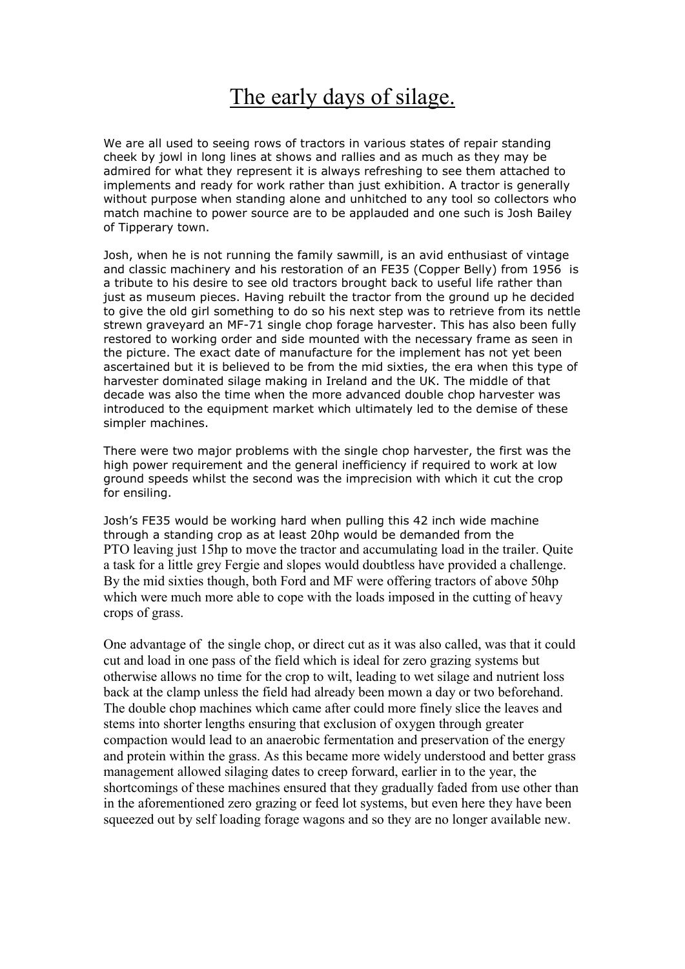## The early days of silage.

We are all used to seeing rows of tractors in various states of repair standing cheek by jowl in long lines at shows and rallies and as much as they may be admired for what they represent it is always refreshing to see them attached to implements and ready for work rather than just exhibition. A tractor is generally without purpose when standing alone and unhitched to any tool so collectors who match machine to power source are to be applauded and one such is Josh Bailey of Tipperary town.

Josh, when he is not running the family sawmill, is an avid enthusiast of vintage and classic machinery and his restoration of an FE35 (Copper Belly) from 1956 is a tribute to his desire to see old tractors brought back to useful life rather than just as museum pieces. Having rebuilt the tractor from the ground up he decided to give the old girl something to do so his next step was to retrieve from its nettle strewn graveyard an MF-71 single chop forage harvester. This has also been fully restored to working order and side mounted with the necessary frame as seen in the picture. The exact date of manufacture for the implement has not yet been ascertained but it is believed to be from the mid sixties, the era when this type of harvester dominated silage making in Ireland and the UK. The middle of that decade was also the time when the more advanced double chop harvester was introduced to the equipment market which ultimately led to the demise of these simpler machines.

There were two major problems with the single chop harvester, the first was the high power requirement and the general inefficiency if required to work at low ground speeds whilst the second was the imprecision with which it cut the crop for ensiling.

Josh's FE35 would be working hard when pulling this 42 inch wide machine through a standing crop as at least 20hp would be demanded from the PTO leaving just 15hp to move the tractor and accumulating load in the trailer. Quite a task for a little grey Fergie and slopes would doubtless have provided a challenge. By the mid sixties though, both Ford and MF were offering tractors of above 50hp which were much more able to cope with the loads imposed in the cutting of heavy crops of grass.

One advantage of the single chop, or direct cut as it was also called, was that it could cut and load in one pass of the field which is ideal for zero grazing systems but otherwise allows no time for the crop to wilt, leading to wet silage and nutrient loss back at the clamp unless the field had already been mown a day or two beforehand. The double chop machines which came after could more finely slice the leaves and stems into shorter lengths ensuring that exclusion of oxygen through greater compaction would lead to an anaerobic fermentation and preservation of the energy and protein within the grass. As this became more widely understood and better grass management allowed silaging dates to creep forward, earlier in to the year, the shortcomings of these machines ensured that they gradually faded from use other than in the aforementioned zero grazing or feed lot systems, but even here they have been squeezed out by self loading forage wagons and so they are no longer available new.